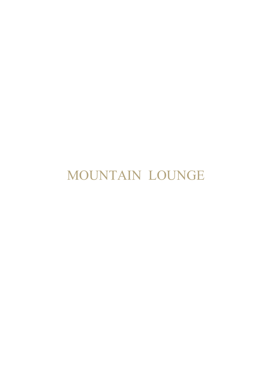MOUNTAIN LOUNGE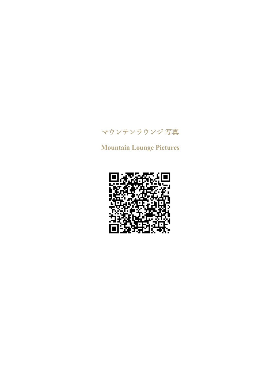## マウンテンラウンジ 写真

**Mountain Lounge Pictures**

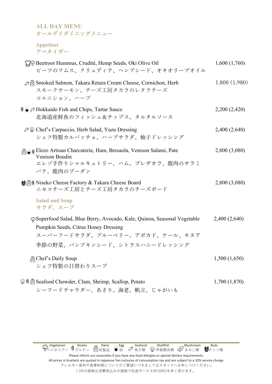**ALL DAY MENU** オールデイダイニングメニュー

**Appetizer** アペタイザー

| PO Beetroot Hummus, Crudité, Hemp Seeds, Oki Olive Oil<br>ビーツのフムス、クリュディテ、ヘンプシード、オキオリーブオイル                                                                                          | 1,600(1,760)  |
|------------------------------------------------------------------------------------------------------------------------------------------------------------------------------------|---------------|
| Smoked Salmon, Takara Retara Cream Cheese, Cornichon, Herb<br>スモークサーモン、チーズ工房タカラのレタラチーズ<br>コルニション、ハーブ                                                                               | 1,800(1,980)  |
| <b>‡</b> ● <i>P</i> Hokkaido Fish and Chips, Tartar Sauce<br>北海道産鮮魚のフィッシュ&チップス、タルタルソース                                                                                             | 2,200 (2,420) |
| √ Chef's Carpaccio, Herb Salad, Yuzu Dressing<br>シェフ特製カルパッチョ、ハーブサラダ、柚子ドレッシング                                                                                                       | 2,400(2,640)  |
| 高◎ i Elezo Artisan Charcuterie, Ham, Bresaola, Venison Salami, Pate<br>Venison Boudin<br>エレゾ手作りシャルキュトリー、ハム、ブレザオラ、鹿肉のサラミ<br>パテ、鹿肉のブーダン                                              | 2,800 (3,080) |
| Maii Niseko Cheese Factory & Takara Cheese Board<br>ニセコチーズ工房とチーズ工房タカラのチーズボード                                                                                                       | 2,800 (3,080) |
| <b>Salad and Soup</b><br>サラダ、スープ                                                                                                                                                   |               |
| hightarread Salad, Blue Berry, Avocado, Kale, Quinoa, Seasonal Vegetable<br>Pumpkin Seeds, Citrus Honey Dressing<br>スーパーフードサラダ、ブルーベリー、アボカド、ケール、キヌア<br>季節の野菜、パンプキンシード、シトラスハニードレッシング | 2,400 (2,640) |
| 高 Chef's Daily Soup<br>シェフ特製の日替わりスープ                                                                                                                                               | 1,500(1,650)  |
| <b> i</b> ■ Seafood Chowder, Clam, Shrimp, Scallop, Potato<br>シーフードチャウダー、あさり、海老、帆立、じゃがいも                                                                                           | 1,700(1,870)  |

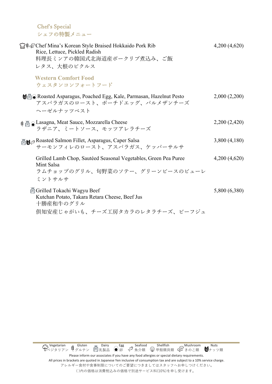Chef's Special シェフの特製メニュー

| <b>T#</b> The Mina's Korean Style Braised Hokkaido Pork Rib<br>Rice, Lettuce, Pickled Radish<br>料理長ミンアの韓国式北海道産ポークリブ煮込み、ご飯<br>レタス、大根のピクルス | 4,200(4,620)  |
|------------------------------------------------------------------------------------------------------------------------------------------|---------------|
| <b>Western Comfort Food</b><br>ウェスタンコンフォートフード                                                                                            |               |
| Mā⊙ Roasted Asparagus, Poached Egg, Kale, Parmasan, Hazelnut Pesto<br>アスパラガスのロースト、ポーチドエッグ、パルメザンチーズ<br>ヘーゼルナッツペスト                         | 2,000(2,200)  |
| <sub>導</sub> 圖●Lasagna, Meat Sauce, Mozzarella Cheese<br>ラザニア、ミートソース、モッツアレラチーズ                                                           | 2,200 (2,420) |
| Roasted Salmon Fillet, Asparagus, Caper Salsa<br>サーモンフィレのロースト、アスパラガス、ケッパーサルサ                                                             | 3,800(4,180)  |
| Grilled Lamb Chop, Sautéed Seasonal Vegetables, Green Pea Puree<br>Mint Salsa<br>ラムチョップのグリル、旬野菜のソテー、グリーンピースのピューレ<br>ミントサルサ               | 4,200(4,620)  |
| 圖 Grilled Tokachi Wagyu Beef<br>Kutchan Potato, Takara Retara Cheese, Beef Jus<br>十勝産和牛のグリル<br>倶知安産じゃがいも、チーズ工房タカラのレタラチーズ、ビーフジュ           | 5,800 (6,380) |

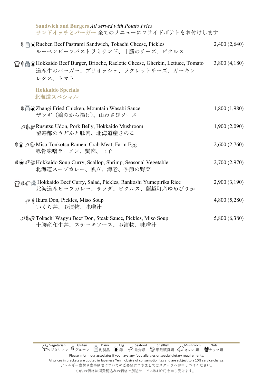| <b>Sandwich and Burgers All served with Potato Fries</b><br>サンドイッチとバーガー 全てのメニューにフライドポテトをお付けします                                    |               |
|-----------------------------------------------------------------------------------------------------------------------------------|---------------|
| <b>‡ A</b> Nueben Beef Pastrami Sandwich, Tokachi Cheese, Pickles<br>ルーベンビーフパストラミサンド、十勝のチーズ、ピクルス                                  | 2,400 (2,640) |
| <b>宁</b> # △ Hokkaido Beef Burger, Brioche, Raclette Cheese, Gherkin, Lettuce, Tomato<br>道産牛のバーガー、ブリオッシュ、ラクレットチーズ、ガーキン<br>レタス、トマト | 3,800(4,180)  |
| <b>Hokkaido Specials</b><br>北海道スペシャル                                                                                              |               |
| \$ △ Zhangi Fried Chicken, Mountain Wasabi Sauce<br>ザンギ (鶏のから揚げ)、山わさびソース                                                          | 1,800 (1,980) |
| √#a Rusutsu Udon, Pork Belly, Hokkaido Mushroom<br>留寿都のうどんと豚肉、北海道産きのこ                                                             | 1,900(2,090)  |
| ‡⊙ Ø Miso Tonkotsu Ramen, Crab Meat, Farm Egg<br>豚骨味噌ラーメン、蟹肉、玉子                                                                   | 2,600(2,760)  |
| ‡⊙ P W Hokkaido Soup Curry, Scallop, Shrimp, Seasonal Vegetable<br>北海道スープカレー、帆立、海老、季節の野菜                                          | 2,700 (2,970) |
| G# Fokkaido Beef Curry, Salad, Pickles, Rankoshi Yumepirika Rice<br>北海道産ビーフカレー、サラダ、ピクルス、蘭越町産ゆめぴりか                                 | 2,900(3,190)  |
| . <sup><i>a</i></sup> i Ikura Don, Pickles, Miso Soup<br>いくら丼、お清物、味噌汁                                                             | 4,800 (5,280) |
| P#aTokachi Wagyu Beef Don, Steak Sauce, Pickles, Miso Soup<br>十勝産和牛丼、ステーキソース、お漬物、味噌汁                                              | 5,800 (6,380) |

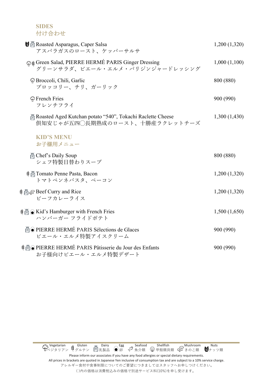**SIDES**  付け合わせ

| <b>Ⅴ</b> Asparagus, Caper Salsa<br>アスパラガスのロースト、ケッパーサルサ                                       | 1,200 (1,320) |
|----------------------------------------------------------------------------------------------|---------------|
| Giger Dressing Salad, PIERRE HERMÉ PARIS Ginger Dressing<br>グリーンサラダ、ピエール・エルメ・パリジンジャードレッシング   | 1,000(1,100)  |
| † Broccoli, Chili, Garlic<br>ブロッコリー、チリ、ガーリック                                                 | 800 (880)     |
| † French Fries<br>フレンチフライ                                                                    | 900 (990)     |
| Roasted Aged Kutchan potato "540", Tokachi Raclette Cheese<br>倶知安じゃが五四◯長期熟成のロースト、十勝産ラクレットチーズ | 1,300(1,430)  |
| <b>KID'S MENU</b><br>お子様用メニュー                                                                |               |
| 圖 Chef's Daily Soup<br>シェフ特製日替わりスープ                                                          | 800 (880)     |
| <b># A Tomato Penne Pasta, Bacon</b><br>トマトペンネパスタ、ベーコン                                       | 1,200(1,320)  |
| <b>i</b> A <sub>su</sub> Beef Curry and Rice<br>ビーフカレーライス                                    | 1,200 (1,320) |
| \$△ (b) Kid's Hamburger with French Fries<br>ハンバーガー フライドポテト                                  | 1,500(1,650)  |
| AO PIERRE HERMÉ PARIS Sélections de Glaces<br>ピエール・エルメ特製アイスクリーム                              | 900 (990)     |
| <b># 高 O PIERRE HERMÉ PARIS Pâtisserie du Jour des Enfants</b><br>お子様向けピエール・エルメ特製デザート        | 900 (990)     |